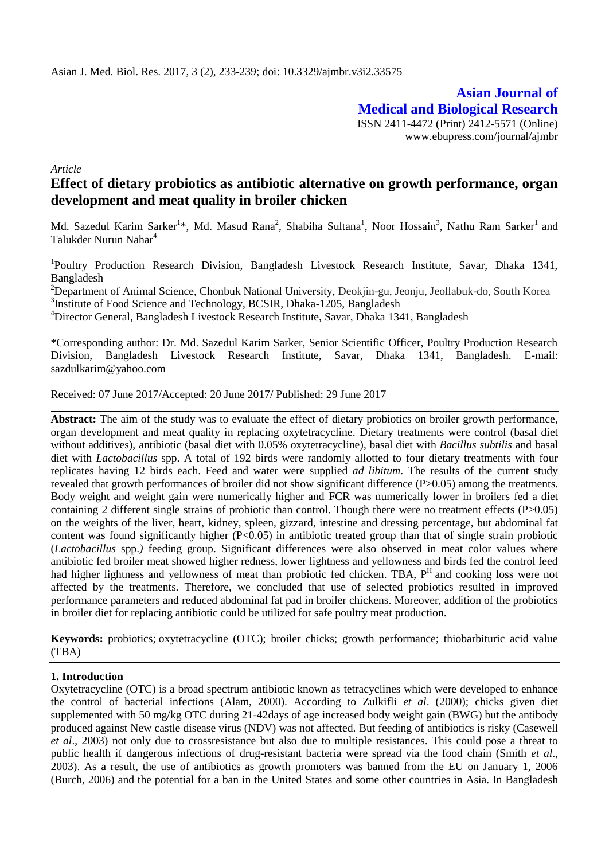**Asian Journal of Medical and Biological Research** ISSN 2411-4472 (Print) 2412-5571 (Online) www.ebupress.com/journal/ajmbr

*Article*

# **Effect of dietary probiotics as antibiotic alternative on growth performance, organ development and meat quality in broiler chicken**

Md. Sazedul Karim Sarker<sup>1</sup>\*, Md. Masud Rana<sup>2</sup>, Shabiha Sultana<sup>1</sup>, Noor Hossain<sup>3</sup>, Nathu Ram Sarker<sup>1</sup> and Talukder Nurun Nahar<sup>4</sup>

<sup>1</sup>Poultry Production Research Division, Bangladesh Livestock Research Institute, Savar, Dhaka 1341, Bangladesh

<sup>2</sup>Department of Animal Science, Chonbuk National University, Deokjin-gu, Jeonju, Jeollabuk-do, South Korea <sup>3</sup>Institute of Food Science and Technology, BCSIR, Dhaka-1205, Bangladesh

<sup>4</sup>Director General, Bangladesh Livestock Research Institute, Savar, Dhaka 1341, Bangladesh

\*Corresponding author: Dr. Md. Sazedul Karim Sarker, Senior Scientific Officer, Poultry Production Research Division, Bangladesh Livestock Research Institute, Savar, Dhaka 1341, Bangladesh. E-mail: [sazdulkarim@yahoo.com](mailto:sazdulkarim@yahoo.com)

Received: 07 June 2017/Accepted: 20 June 2017/ Published: 29 June 2017

**Abstract:** The aim of the study was to evaluate the effect of dietary probiotics on broiler growth performance, organ development and meat quality in replacing oxytetracycline. Dietary treatments were control (basal diet without additives), antibiotic (basal diet with 0.05% oxytetracycline), basal diet with *Bacillus subtilis* and basal diet with *Lactobacillus* spp. A total of 192 birds were randomly allotted to four dietary treatments with four replicates having 12 birds each. Feed and water were supplied *ad libitum*. The results of the current study revealed that growth performances of broiler did not show significant difference (P>0.05) among the treatments. Body weight and weight gain were numerically higher and FCR was numerically lower in broilers fed a diet containing 2 different single strains of probiotic than control. Though there were no treatment effects (P>0.05) on the weights of the liver, heart, kidney, spleen, gizzard, intestine and dressing percentage, but abdominal fat content was found significantly higher  $(P<0.05)$  in antibiotic treated group than that of single strain probiotic (*Lactobacillus* spp.*)* feeding group. Significant differences were also observed in meat color values where antibiotic fed broiler meat showed higher redness, lower lightness and yellowness and birds fed the control feed had higher lightness and yellowness of meat than probiotic fed chicken. TBA, P<sup>H</sup> and cooking loss were not affected by the treatments. Therefore, we concluded that use of selected probiotics resulted in improved performance parameters and reduced abdominal fat pad in broiler chickens. Moreover, addition of the probiotics in broiler diet for replacing antibiotic could be utilized for safe poultry meat production.

**Keywords:** probiotics; oxytetracycline (OTC); broiler chicks; growth performance; thiobarbituric acid value (TBA)

## **1. Introduction**

Oxytetracycline (OTC) is a broad spectrum antibiotic known as tetracyclines which were developed to enhance the control of bacterial infections (Alam, 2000). According to Zulkifli *et al*. (2000); chicks given diet supplemented with 50 mg/kg OTC during 21-42days of age increased body weight gain (BWG) but the antibody produced against New castle disease virus (NDV) was not affected. But feeding of antibiotics is risky (Casewell *et al*., 2003) not only due to crossresistance but also due to multiple resistances. This could pose a threat to public health if dangerous infections of drug-resistant bacteria were spread via the food chain (Smith *et al*., 2003). As a result, the use of antibiotics as growth promoters was banned from the EU on January 1, 2006 (Burch, 2006) and the potential for a ban in the United States and some other countries in Asia. In Bangladesh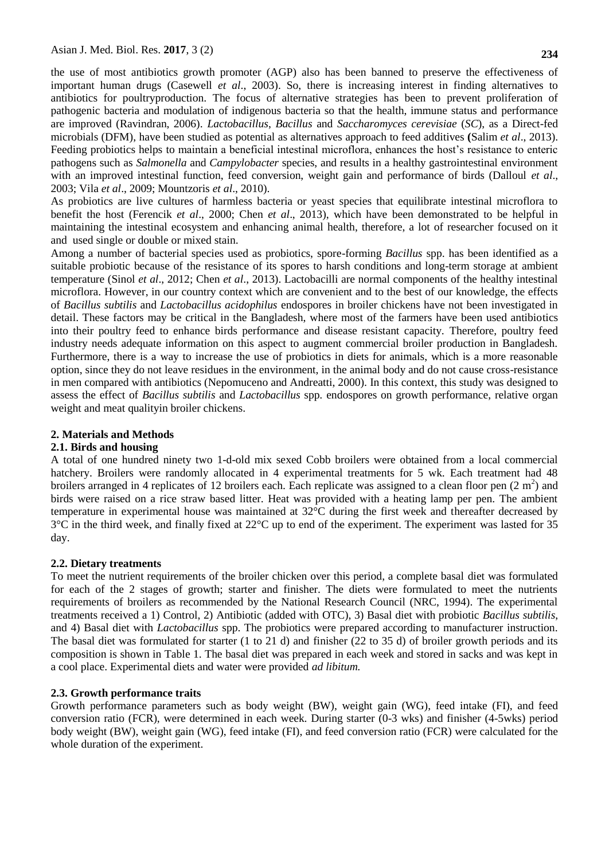the use of most antibiotics growth promoter (AGP) also has been banned to preserve the effectiveness of important human drugs (Casewell *et al*., 2003). So, there is increasing interest in finding alternatives to antibiotics for poultryproduction. The focus of alternative strategies has been to prevent proliferation of pathogenic bacteria and modulation of indigenous bacteria so that the health, immune status and performance are improved (Ravindran, 2006). *Lactobacillus*, *Bacillus* and *Saccharomyces cerevisiae* (*SC*), as a Direct-fed microbials (DFM), have been studied as potential as alternatives approach to feed additives **(**Salim *et al*., 2013). Feeding probiotics helps to maintain a beneficial intestinal microflora, enhances the host's resistance to enteric pathogens such as *Salmonella* and *Campylobacter* species, and results in a healthy gastrointestinal environment with an improved intestinal function, feed conversion, weight gain and performance of birds (Dalloul *et al*., 2003; Vila *et al*., 2009; Mountzoris *et al*., 2010).

As probiotics are live cultures of harmless bacteria or yeast species that equilibrate intestinal microflora to benefit the host (Ferencik *et al*., 2000; Chen *et al*., 2013), which have been demonstrated to be helpful in maintaining the intestinal ecosystem and enhancing animal health, therefore, a lot of researcher focused on it and used single or double or mixed stain.

Among a number of bacterial species used as probiotics, spore-forming *Bacillus* spp. has been identified as a suitable probiotic because of the resistance of its spores to harsh conditions and long-term storage at ambient temperature (Sinol *et al*., 2012; Chen *et al*., 2013). Lactobacilli are normal components of the healthy intestinal microflora. However, in our country context which are convenient and to the best of our knowledge, the effects of *Bacillus subtilis* and *Lactobacillus acidophilus* endospores in broiler chickens have not been investigated in detail. These factors may be critical in the Bangladesh, where most of the farmers have been used antibiotics into their poultry feed to enhance birds performance and disease resistant capacity. Therefore, poultry feed industry needs adequate information on this aspect to augment commercial broiler production in Bangladesh. Furthermore, there is a way to increase the use of probiotics in diets for animals, which is a more reasonable option, since they do not leave residues in the environment, in the animal body and do not cause cross-resistance in men compared with antibiotics (Nepomuceno and Andreatti, 2000). In this context, this study was designed to assess the effect of *Bacillus subtilis* and *Lactobacillus* spp*.* endospores on growth performance, relative organ weight and meat qualityin broiler chickens.

## **2. Materials and Methods**

## **2.1. Birds and housing**

A total of one hundred ninety two 1-d-old mix sexed Cobb broilers were obtained from a local commercial hatchery. Broilers were randomly allocated in 4 experimental treatments for 5 wk. Each treatment had 48 broilers arranged in 4 replicates of 12 broilers each. Each replicate was assigned to a clean floor pen  $(2 \text{ m}^2)$  and birds were raised on a rice straw based litter. Heat was provided with a heating lamp per pen. The ambient temperature in experimental house was maintained at 32°C during the first week and thereafter decreased by 3°C in the third week, and finally fixed at 22°C up to end of the experiment. The experiment was lasted for 35 day.

## **2.2. Dietary treatments**

To meet the nutrient requirements of the broiler chicken over this period, a complete basal diet was formulated for each of the 2 stages of growth; starter and finisher. The diets were formulated to meet the nutrients requirements of broilers as recommended by the National Research Council (NRC, 1994). The experimental treatments received a 1) Control, 2) Antibiotic (added with OTC), 3) Basal diet with probiotic *Bacillus subtilis*, and 4) Basal diet with *Lactobacillus* spp. The probiotics were prepared according to manufacturer instruction. The basal diet was formulated for starter (1 to 21 d) and finisher (22 to 35 d) of broiler growth periods and its composition is shown in Table 1. The basal diet was prepared in each week and stored in sacks and was kept in a cool place. Experimental diets and water were provided *ad libitum.*

## **2.3. Growth performance traits**

Growth performance parameters such as body weight (BW), weight gain (WG), feed intake (FI), and feed conversion ratio (FCR), were determined in each week. During starter (0-3 wks) and finisher (4-5wks) period body weight (BW), weight gain (WG), feed intake (FI), and feed conversion ratio (FCR) were calculated for the whole duration of the experiment.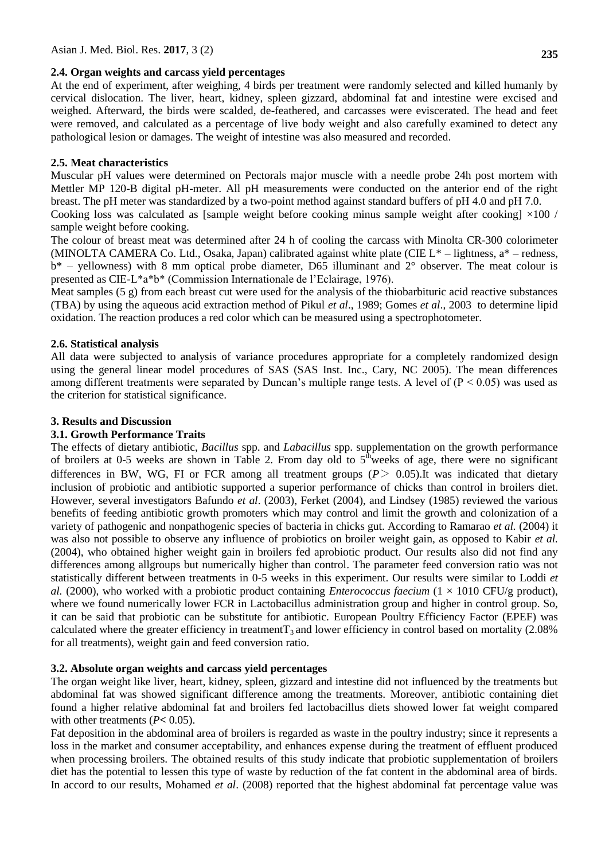### **2.4. Organ weights and carcass yield percentages**

At the end of experiment, after weighing, 4 birds per treatment were randomly selected and killed humanly by cervical dislocation. The liver, heart, kidney, spleen gizzard, abdominal fat and intestine were excised and weighed. Afterward, the birds were scalded, de-feathered, and carcasses were eviscerated. The head and feet were removed, and calculated as a percentage of live body weight and also carefully examined to detect any pathological lesion or damages. The weight of intestine was also measured and recorded.

## **2.5. Meat characteristics**

Muscular pH values were determined on Pectorals major muscle with a needle probe 24h post mortem with Mettler MP 120-B digital pH-meter. All pH measurements were conducted on the anterior end of the right breast. The pH meter was standardized by a two-point method against standard buffers of pH 4.0 and pH 7.0.

Cooking loss was calculated as [sample weight before cooking minus sample weight after cooking]  $\times 100$  / sample weight before cooking.

The colour of breast meat was determined after 24 h of cooling the carcass with Minolta CR-300 colorimeter (MINOLTA CAMERA Co. Ltd., Osaka, Japan) calibrated against white plate (CIE L\* – lightness, a\* – redness,  $b^*$  – yellowness) with 8 mm optical probe diameter, D65 illuminant and  $2^{\circ}$  observer. The meat colour is presented as CIE-L\*a\*b\* (Commission Internationale de l'Eclairage, 1976).

Meat samples  $(5 \text{ g})$  from each breast cut were used for the analysis of the thiobarbituric acid reactive substances (TBA) by using the aqueous acid extraction method of Pikul *et al*., 1989; Gomes *et al*., 2003 to determine lipid oxidation. The reaction produces a red color which can be measured using a spectrophotometer.

## **2.6. Statistical analysis**

All data were subjected to analysis of variance procedures appropriate for a completely randomized design using the general linear model procedures of SAS (SAS Inst. Inc., Cary, NC 2005). The mean differences among different treatments were separated by Duncan's multiple range tests. A level of  $(P < 0.05)$  was used as the criterion for statistical significance.

## **3. Results and Discussion**

## **3.1. Growth Performance Traits**

The effects of dietary antibiotic, *Bacillus* spp. and *Labacillus* spp. supplementation on the growth performance of broilers at 0-5 weeks are shown in Table 2. From day old to  $5<sup>th</sup>$  weeks of age, there were no significant differences in BW, WG, FI or FCR among all treatment groups  $(P > 0.05)$ . It was indicated that dietary inclusion of probiotic and antibiotic supported a superior performance of chicks than control in broilers diet. However, several investigators Bafundo *et al*. (2003), Ferket (2004), and Lindsey (1985) reviewed the various benefits of feeding antibiotic growth promoters which may control and limit the growth and colonization of a variety of pathogenic and nonpathogenic species of bacteria in chicks gut. According to Ramarao *et al.* (2004) it was also not possible to observe any influence of probiotics on broiler weight gain, as opposed to Kabir *et al.* (2004), who obtained higher weight gain in broilers fed aprobiotic product. Our results also did not find any differences among allgroups but numerically higher than control. The parameter feed conversion ratio was not statistically different between treatments in 0-5 weeks in this experiment. Our results were similar to Loddi *et al.* (2000), who worked with a probiotic product containing *Enterococcus faecium*  $(1 \times 1010 \text{ CFU/g} \text{ product})$ , where we found numerically lower FCR in Lactobacillus administration group and higher in control group. So, it can be said that probiotic can be substitute for antibiotic. European Poultry Efficiency Factor (EPEF) was calculated where the greater efficiency in treatment  $T_3$  and lower efficiency in control based on mortality (2.08%) for all treatments), weight gain and feed conversion ratio.

## **3.2. Absolute organ weights and carcass yield percentages**

The organ weight like liver, heart, kidney, spleen, gizzard and intestine did not influenced by the treatments but abdominal fat was showed significant difference among the treatments. Moreover, antibiotic containing diet found a higher relative abdominal fat and broilers fed lactobacillus diets showed lower fat weight compared with other treatments (*P***<** 0.05).

Fat deposition in the abdominal area of broilers is regarded as waste in the poultry industry; since it represents a loss in the market and consumer acceptability, and enhances expense during the treatment of effluent produced when processing broilers. The obtained results of this study indicate that probiotic supplementation of broilers diet has the potential to lessen this type of waste by reduction of the fat content in the abdominal area of birds. In accord to our results, Mohamed *et al*. (2008) reported that the highest abdominal fat percentage value was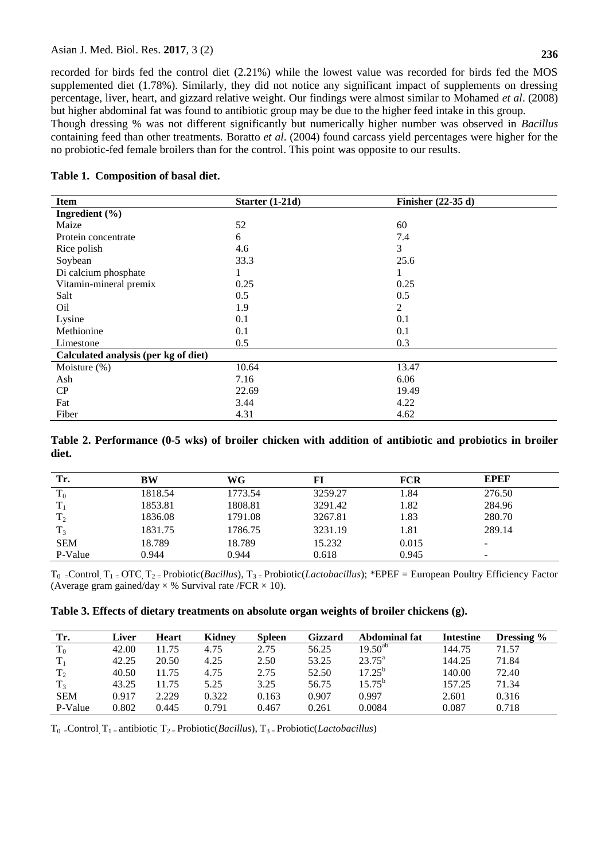recorded for birds fed the control diet (2.21%) while the lowest value was recorded for birds fed the MOS supplemented diet (1.78%). Similarly, they did not notice any significant impact of supplements on dressing percentage, liver, heart, and gizzard relative weight. Our findings were almost similar to Mohamed *et al*. (2008) but higher abdominal fat was found to antibiotic group may be due to the higher feed intake in this group.

Though dressing % was not different significantly but numerically higher number was observed in *Bacillus* containing feed than other treatments. Boratto *et al*. (2004) found carcass yield percentages were higher for the no probiotic-fed female broilers than for the control. This point was opposite to our results.

#### **Table 1. Composition of basal diet.**

| <b>Item</b>                          | Starter $(1-21d)$ | Finisher $(22-35d)$ |  |  |  |  |  |
|--------------------------------------|-------------------|---------------------|--|--|--|--|--|
| Ingredient $(\% )$                   |                   |                     |  |  |  |  |  |
| Maize                                | 52                | 60                  |  |  |  |  |  |
| Protein concentrate                  | 6                 | 7.4                 |  |  |  |  |  |
| Rice polish                          | 4.6               | 3                   |  |  |  |  |  |
| Soybean                              | 33.3              | 25.6                |  |  |  |  |  |
| Di calcium phosphate                 |                   | л                   |  |  |  |  |  |
| Vitamin-mineral premix               | 0.25              | 0.25                |  |  |  |  |  |
| Salt                                 | 0.5               | 0.5                 |  |  |  |  |  |
| O <sub>il</sub>                      | 1.9               | 2                   |  |  |  |  |  |
| Lysine                               | 0.1               | 0.1                 |  |  |  |  |  |
| Methionine                           | 0.1               | 0.1                 |  |  |  |  |  |
| Limestone                            | 0.5               | 0.3                 |  |  |  |  |  |
| Calculated analysis (per kg of diet) |                   |                     |  |  |  |  |  |
| Moisture $(\%)$                      | 10.64             | 13.47               |  |  |  |  |  |
| Ash                                  | 7.16              | 6.06                |  |  |  |  |  |
| CP                                   | 22.69             | 19.49               |  |  |  |  |  |
| Fat                                  | 3.44              | 4.22                |  |  |  |  |  |
| Fiber                                | 4.31              | 4.62                |  |  |  |  |  |

**Table 2. Performance (0-5 wks) of broiler chicken with addition of antibiotic and probiotics in broiler diet.**

| Tr.            | BW      | WG      | FI      | FCR   | <b>EPEF</b> |  |
|----------------|---------|---------|---------|-------|-------------|--|
| $T_0$          | 1818.54 | 1773.54 | 3259.27 | 1.84  | 276.50      |  |
|                | 1853.81 | 1808.81 | 3291.42 | 1.82  | 284.96      |  |
| T <sub>2</sub> | 1836.08 | 1791.08 | 3267.81 | 1.83  | 280.70      |  |
| $T_3$          | 1831.75 | 1786.75 | 3231.19 | 1.81  | 289.14      |  |
| <b>SEM</b>     | 18.789  | 18.789  | 15.232  | 0.015 |             |  |
| P-Value        | 0.944   | 0.944   | 0.618   | 0.945 | -           |  |

T0 =Control, T1 = OTC, T2 = Probiotic(*Bacillus*), T3 = Probiotic(*Lactobacillus*); \*EPEF = European Poultry Efficiency Factor (Average gram gained/day  $\times$  % Survival rate /FCR  $\times$  10).

## **Table 3. Effects of dietary treatments on absolute organ weights of broiler chickens (g).**

| Tr.            | Liver | Heart | <b>Kidney</b> | <b>Spleen</b> | Gizzard | Abdominal fat   | <b>Intestine</b> | Dressing $\%$ |
|----------------|-------|-------|---------------|---------------|---------|-----------------|------------------|---------------|
| $T_0$          | 42.00 | 11.75 | 4.75          | 2.75          | 56.25   | $19.50^{ab}$    | 144.75           | 71.57         |
| $T_1$          | 42.25 | 20.50 | 4.25          | 2.50          | 53.25   | $23.75^{\circ}$ | 144.25           | 71.84         |
| $T_2$          | 40.50 | 11.75 | 4.75          | 2.75          | 52.50   | $17.25^{b}$     | 140.00           | 72.40         |
| T <sub>3</sub> | 43.25 | 11.75 | 5.25          | 3.25          | 56.75   | $15.75^{b}$     | 157.25           | 71.34         |
| <b>SEM</b>     | 0.917 | 2.229 | 0.322         | 0.163         | 0.907   | 0.997           | 2.601            | 0.316         |
| P-Value        | 0.802 | 0.445 | 0.791         | 0.467         | 0.261   | 0.0084          | 0.087            | 0.718         |

 $T_0$  = Control,  $T_1$  = antibiotic,  $T_2$  = Probiotic(*Bacillus*),  $T_3$  = Probiotic(*Lactobacillus*)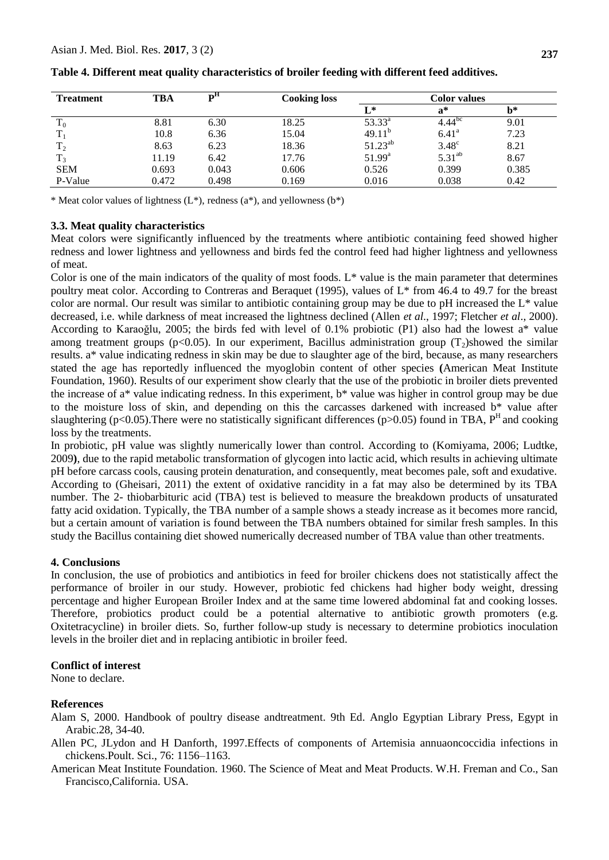| <b>Treatment</b> | TBA   | ъu    | <b>Cooking loss</b> | Color values       |                      |       |
|------------------|-------|-------|---------------------|--------------------|----------------------|-------|
|                  |       |       |                     | $L^*$              | $\mathbf{a}^*$       | b*    |
| $T_0$            | 8.81  | 6.30  | 18.25               | $53.33^{\circ}$    | $4.44$ <sup>bc</sup> | 9.01  |
| $T_1$            | 10.8  | 6.36  | 15.04               | 49.11 <sup>b</sup> | $6.41^{\rm a}$       | 7.23  |
| T <sub>2</sub>   | 8.63  | 6.23  | 18.36               | $51.23^{ab}$       | $3.48^\circ$         | 8.21  |
| $T_3$            | 11.19 | 6.42  | 17.76               | $51.99^{\rm a}$    | $5.31^{ab}$          | 8.67  |
| <b>SEM</b>       | 0.693 | 0.043 | 0.606               | 0.526              | 0.399                | 0.385 |
| P-Value          | 0.472 | 0.498 | 0.169               | 0.016              | 0.038                | 0.42  |

**Table 4. Different meat quality characteristics of broiler feeding with different feed additives.**

\* Meat color values of lightness  $(L^*)$ , redness  $(a^*)$ , and yellowness  $(b^*)$ 

#### **3.3. Meat quality characteristics**

Meat colors were significantly influenced by the treatments where antibiotic containing feed showed higher redness and lower lightness and yellowness and birds fed the control feed had higher lightness and yellowness of meat.

Color is one of the main indicators of the quality of most foods.  $L^*$  value is the main parameter that determines poultry meat color. According to Contreras and Beraquet (1995), values of L\* from 46.4 to 49.7 for the breast color are normal. Our result was similar to antibiotic containing group may be due to pH increased the  $L^*$  value decreased, i.e. while darkness of meat increased the lightness declined (Allen *et al*., 1997; Fletcher *et al*., 2000). According to Karaoğlu, 2005; the birds fed with level of 0.1% probiotic (P1) also had the lowest a\* value among treatment groups (p<0.05). In our experiment, Bacillus administration group  $(T_2)$ showed the similar results. a\* value indicating redness in skin may be due to slaughter age of the bird, because, as many researchers stated the age has reportedly influenced the myoglobin content of other species **(**American Meat Institute Foundation, 1960). Results of our experiment show clearly that the use of the probiotic in broiler diets prevented the increase of a\* value indicating redness. In this experiment, b\* value was higher in control group may be due to the moisture loss of skin, and depending on this the carcasses darkened with increased b\* value after slaughtering (p<0.05). There were no statistically significant differences (p>0.05) found in TBA,  $P^H$  and cooking loss by the treatments.

In probiotic, pH value was slightly numerically lower than control. According to (Komiyama, 2006; Ludtke, 2009**)**, due to the rapid metabolic transformation of glycogen into lactic acid, which results in achieving ultimate pH before carcass cools, causing protein denaturation, and consequently, meat becomes pale, soft and exudative. According to (Gheisari, 2011) the extent of oxidative rancidity in a fat may also be determined by its TBA number. The 2- thiobarbituric acid (TBA) test is believed to measure the breakdown products of unsaturated fatty acid oxidation. Typically, the TBA number of a sample shows a steady increase as it becomes more rancid, but a certain amount of variation is found between the TBA numbers obtained for similar fresh samples. In this study the Bacillus containing diet showed numerically decreased number of TBA value than other treatments.

#### **4. Conclusions**

In conclusion, the use of probiotics and antibiotics in feed for broiler chickens does not statistically affect the performance of broiler in our study. However, probiotic fed chickens had higher body weight, dressing percentage and higher European Broiler Index and at the same time lowered abdominal fat and cooking losses. Therefore, probiotics product could be a potential alternative to antibiotic growth promoters (e.g. Oxitetracycline) in broiler diets. So, further follow-up study is necessary to determine probiotics inoculation levels in the broiler diet and in replacing antibiotic in broiler feed.

#### **Conflict of interest**

None to declare.

## **References**

- Alam S, 2000. Handbook of poultry disease andtreatment. 9th Ed. Anglo Egyptian Library Press, Egypt in Arabic.28, 34-40.
- Allen PC, JLydon and H Danforth, 1997.Effects of components of Artemisia annuaoncoccidia infections in chickens.Poult. Sci., 76: 1156–1163.
- American Meat Institute Foundation. 1960. The Science of Meat and Meat Products. W.H. Freman and Co., San Francisco,California. USA.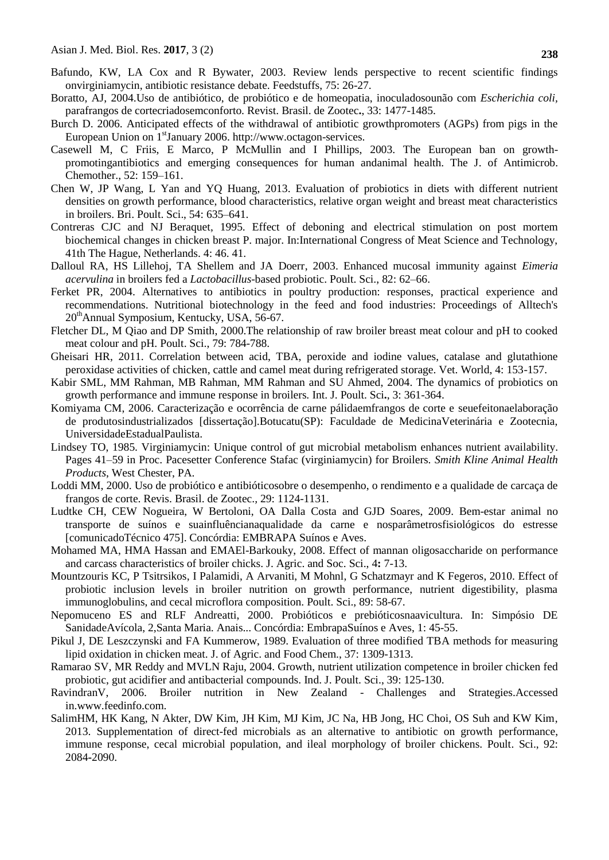- Bafundo, KW, LA Cox and R Bywater, 2003. Review lends perspective to recent scientific findings onvirginiamycin, antibiotic resistance debate. Feedstuffs, 75: 26-27.
- Boratto, AJ, 2004.Uso de antibiótico, de probiótico e de homeopatia, inoculadosounão com *Escherichia coli,*  parafrangos de cortecriadosemconforto. Revist. Brasil. de Zootec**.**, 33: 1477-1485.
- Burch D. 2006. Anticipated effects of the withdrawal of antibiotic growthpromoters (AGPs) from pigs in the European Union on 1<sup>st</sup>January 2006. http://www.octagon-services.
- Casewell M, C Friis, E Marco, P McMullin and I Phillips, 2003. The European ban on growthpromotingantibiotics and emerging consequences for human andanimal health. The J. of Antimicrob. Chemother., 52: 159–161.
- Chen W, JP Wang, L Yan and YQ Huang, 2013. Evaluation of probiotics in diets with different nutrient densities on growth performance, blood characteristics, relative organ weight and breast meat characteristics in broilers. Bri. Poult. Sci., 54: 635–641.
- Contreras CJC and NJ Beraquet, 1995. Effect of deboning and electrical stimulation on post mortem biochemical changes in chicken breast P. major. In:International Congress of Meat Science and Technology, 41th The Hague, Netherlands. 4: 46. 41.
- Dalloul RA, HS Lillehoj, TA Shellem and JA Doerr, 2003. Enhanced mucosal immunity against *Eimeria acervulina* in broilers fed a *Lactobacillus*-based probiotic. Poult. Sci., 82: 62–66.
- Ferket PR, 2004. Alternatives to antibiotics in poultry production: responses, practical experience and recommendations. Nutritional biotechnology in the feed and food industries: Proceedings of Alltech's 20thAnnual Symposium, Kentucky, USA, 56-67.
- Fletcher DL, M Qiao and DP Smith, 2000.The relationship of raw broiler breast meat colour and pH to cooked meat colour and pH. Poult. Sci., 79: 784-788.
- Gheisari HR, 2011. Correlation between acid, TBA, peroxide and iodine values, catalase and glutathione peroxidase activities of chicken, cattle and camel meat during refrigerated storage. Vet. World, 4: 153-157.
- Kabir SML, MM Rahman, MB Rahman, MM Rahman and SU Ahmed, 2004. The dynamics of probiotics on growth performance and immune response in broilers. Int. J. Poult. Sci**.**, 3: 361-364.
- Komiyama CM, 2006. Caracterização e ocorrência de carne pálidaemfrangos de corte e seuefeitonaelaboração de produtosindustrializados [dissertação].Botucatu(SP): Faculdade de MedicinaVeterinária e Zootecnia, UniversidadeEstadualPaulista.
- Lindsey TO, 1985. Virginiamycin: Unique control of gut microbial metabolism enhances nutrient availability. Pages 41–59 in Proc. Pacesetter Conference Stafac (virginiamycin) for Broilers. *Smith Kline Animal Health Products*, West Chester, PA.
- Loddi MM, 2000. Uso de probiótico e antibióticosobre o desempenho, o rendimento e a qualidade de carcaça de frangos de corte. Revis. Brasil. de Zootec.*,* 29: 1124-1131.
- Ludtke CH, CEW Nogueira, W Bertoloni, OA Dalla Costa and GJD Soares, 2009. Bem-estar animal no transporte de suínos e suainfluêncianaqualidade da carne e nosparâmetrosfisiológicos do estresse [comunicadoTécnico 475]. Concórdia: EMBRAPA Suínos e Aves.
- Mohamed MA, HMA Hassan and EMAEl-Barkouky, 2008. Effect of mannan oligosaccharide on performance and carcass characteristics of broiler chicks. J. Agric. and Soc. Sci., 4**:** 7-13.
- Mountzouris KC, P Tsitrsikos, I Palamidi, A Arvaniti, M Mohnl, G Schatzmayr and K Fegeros, 2010. Effect of probiotic inclusion levels in broiler nutrition on growth performance, nutrient digestibility, plasma immunoglobulins, and cecal microflora composition. Poult. Sci., 89: 58-67.
- Nepomuceno ES and RLF Andreatti, 2000. Probióticos e prebióticosnaavicultura. In: Simpósio DE SanidadeAvícola, 2,Santa Maria. Anais... Concórdia: EmbrapaSuínos e Aves, 1: 45-55.
- Pikul J, DE Leszczynski and FA Kummerow, 1989. Evaluation of three modified TBA methods for measuring lipid oxidation in chicken meat. J. of Agric. and Food Chem., 37: 1309-1313.
- Ramarao SV, MR Reddy and MVLN Raju, 2004. Growth, nutrient utilization competence in broiler chicken fed probiotic, gut acidifier and antibacterial compounds. Ind. J. Poult. Sci., 39: 125-130.
- RavindranV, 2006. Broiler nutrition in New Zealand Challenges and Strategies.Accessed in.www.feedinfo.com.
- SalimHM, HK Kang, N Akter, DW Kim, JH Kim, MJ Kim, JC Na, HB Jong, HC Choi, OS Suh and KW Kim, 2013. Supplementation of direct-fed microbials as an alternative to antibiotic on growth performance, immune response, cecal microbial population, and ileal morphology of broiler chickens. Poult. Sci., 92: 2084**-**2090.